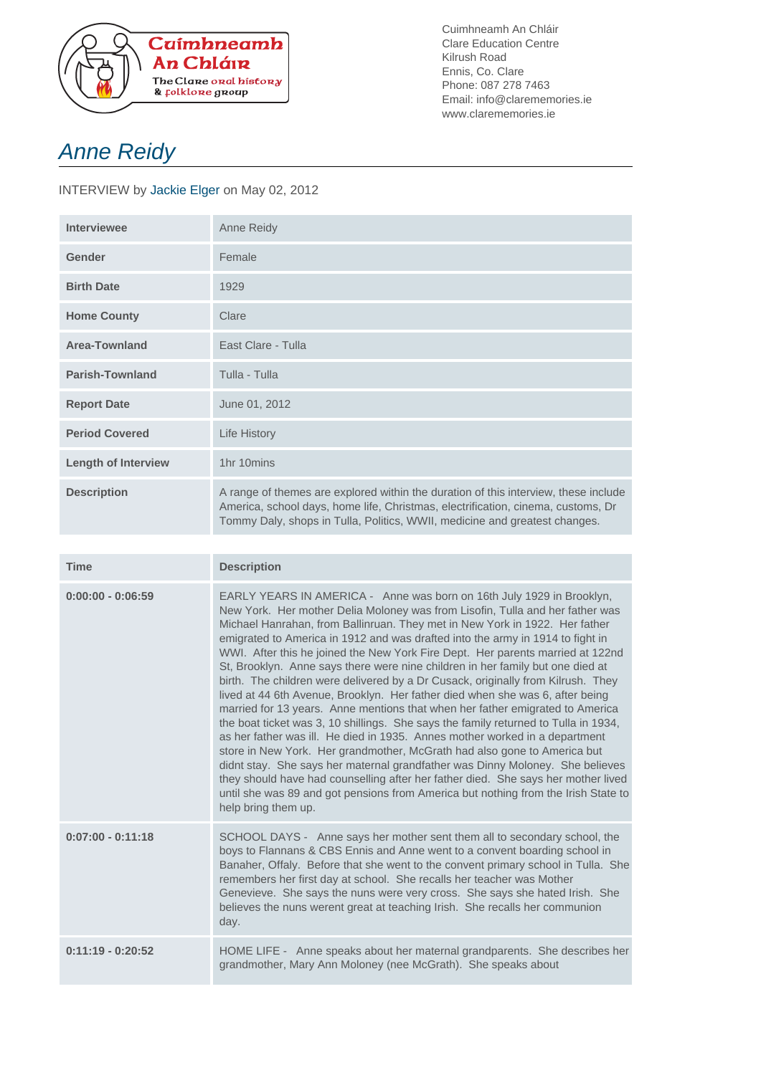

Cuimhneamh An Chláir Clare Education Centre Kilrush Road Ennis, Co. Clare Phone: 087 278 7463 Email: info@clarememories.ie www.clarememories.ie

## Anne Reidy

INTERVIEW by Jackie Elger on May 02, 2012

| Interviewee                | Anne Reidy                                                                                                                                                                                                                                            |
|----------------------------|-------------------------------------------------------------------------------------------------------------------------------------------------------------------------------------------------------------------------------------------------------|
| Gender                     | Female                                                                                                                                                                                                                                                |
| <b>Birth Date</b>          | 1929                                                                                                                                                                                                                                                  |
| <b>Home County</b>         | Clare                                                                                                                                                                                                                                                 |
| <b>Area-Townland</b>       | East Clare - Tulla                                                                                                                                                                                                                                    |
| <b>Parish-Townland</b>     | Tulla - Tulla                                                                                                                                                                                                                                         |
| <b>Report Date</b>         | June 01, 2012                                                                                                                                                                                                                                         |
| <b>Period Covered</b>      | Life History                                                                                                                                                                                                                                          |
| <b>Length of Interview</b> | 1hr 10mins                                                                                                                                                                                                                                            |
| <b>Description</b>         | A range of themes are explored within the duration of this interview, these include<br>America, school days, home life, Christmas, electrification, cinema, customs, Dr<br>Tommy Daly, shops in Tulla, Politics, WWII, medicine and greatest changes. |

| <b>Time</b>         | <b>Description</b>                                                                                                                                                                                                                                                                                                                                                                                                                                                                                                                                                                                                                                                                                                                                                                                                                                                                                                                                                                                                                                                                                                                                                                                                                                                                     |
|---------------------|----------------------------------------------------------------------------------------------------------------------------------------------------------------------------------------------------------------------------------------------------------------------------------------------------------------------------------------------------------------------------------------------------------------------------------------------------------------------------------------------------------------------------------------------------------------------------------------------------------------------------------------------------------------------------------------------------------------------------------------------------------------------------------------------------------------------------------------------------------------------------------------------------------------------------------------------------------------------------------------------------------------------------------------------------------------------------------------------------------------------------------------------------------------------------------------------------------------------------------------------------------------------------------------|
| $0:00:00 - 0:06:59$ | EARLY YEARS IN AMERICA - Anne was born on 16th July 1929 in Brooklyn,<br>New York. Her mother Delia Moloney was from Lisofin, Tulla and her father was<br>Michael Hanrahan, from Ballinruan. They met in New York in 1922. Her father<br>emigrated to America in 1912 and was drafted into the army in 1914 to fight in<br>WWI. After this he joined the New York Fire Dept. Her parents married at 122nd<br>St, Brooklyn. Anne says there were nine children in her family but one died at<br>birth. The children were delivered by a Dr Cusack, originally from Kilrush. They<br>lived at 44 6th Avenue, Brooklyn. Her father died when she was 6, after being<br>married for 13 years. Anne mentions that when her father emigrated to America<br>the boat ticket was 3, 10 shillings. She says the family returned to Tulla in 1934,<br>as her father was ill. He died in 1935. Annes mother worked in a department<br>store in New York. Her grandmother, McGrath had also gone to America but<br>didnt stay. She says her maternal grandfather was Dinny Moloney. She believes<br>they should have had counselling after her father died. She says her mother lived<br>until she was 89 and got pensions from America but nothing from the Irish State to<br>help bring them up. |
| $0:07:00 - 0:11:18$ | SCHOOL DAYS - Anne says her mother sent them all to secondary school, the<br>boys to Flannans & CBS Ennis and Anne went to a convent boarding school in<br>Banaher, Offaly. Before that she went to the convent primary school in Tulla. She<br>remembers her first day at school. She recalls her teacher was Mother<br>Genevieve. She says the nuns were very cross. She says she hated Irish. She<br>believes the nuns werent great at teaching Irish. She recalls her communion<br>day.                                                                                                                                                                                                                                                                                                                                                                                                                                                                                                                                                                                                                                                                                                                                                                                            |
| $0:11:19 - 0:20:52$ | HOME LIFE - Anne speaks about her maternal grandparents. She describes her<br>grandmother, Mary Ann Moloney (nee McGrath). She speaks about                                                                                                                                                                                                                                                                                                                                                                                                                                                                                                                                                                                                                                                                                                                                                                                                                                                                                                                                                                                                                                                                                                                                            |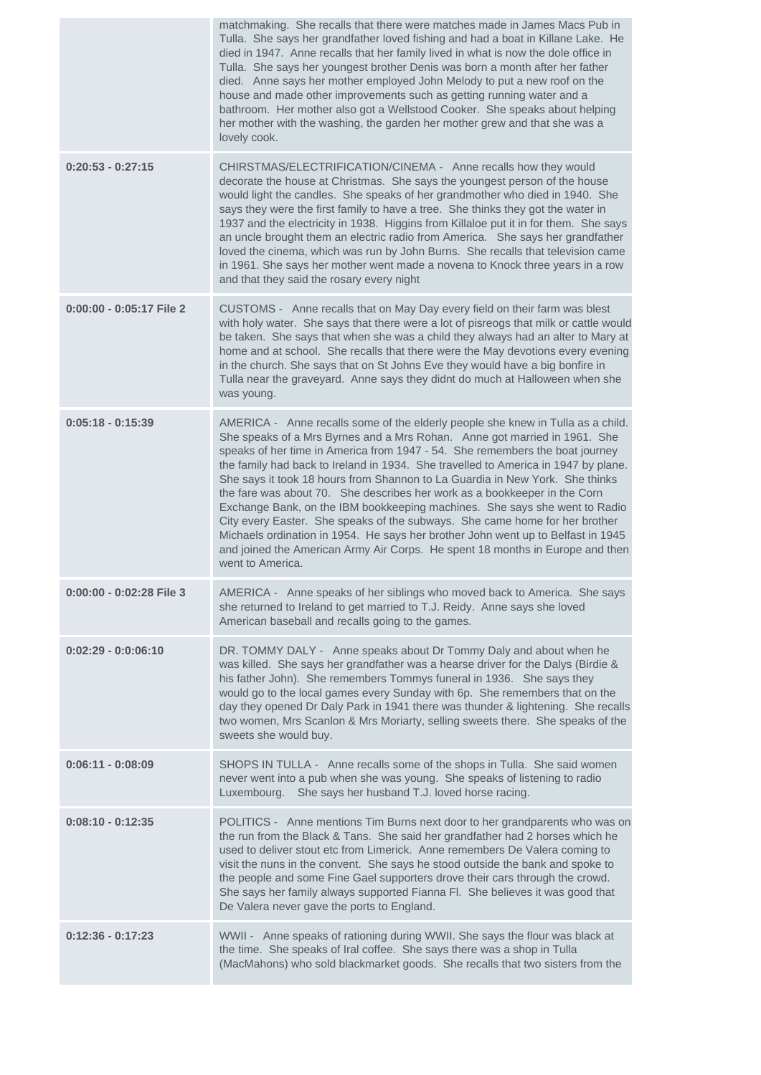|                            | matchmaking. She recalls that there were matches made in James Macs Pub in<br>Tulla. She says her grandfather loved fishing and had a boat in Killane Lake. He<br>died in 1947. Anne recalls that her family lived in what is now the dole office in<br>Tulla. She says her youngest brother Denis was born a month after her father<br>died. Anne says her mother employed John Melody to put a new roof on the<br>house and made other improvements such as getting running water and a<br>bathroom. Her mother also got a Wellstood Cooker. She speaks about helping<br>her mother with the washing, the garden her mother grew and that she was a<br>lovely cook.                                                                                                                                                                                 |
|----------------------------|-------------------------------------------------------------------------------------------------------------------------------------------------------------------------------------------------------------------------------------------------------------------------------------------------------------------------------------------------------------------------------------------------------------------------------------------------------------------------------------------------------------------------------------------------------------------------------------------------------------------------------------------------------------------------------------------------------------------------------------------------------------------------------------------------------------------------------------------------------|
| $0:20:53 - 0:27:15$        | CHIRSTMAS/ELECTRIFICATION/CINEMA - Anne recalls how they would<br>decorate the house at Christmas. She says the youngest person of the house<br>would light the candles. She speaks of her grandmother who died in 1940. She<br>says they were the first family to have a tree. She thinks they got the water in<br>1937 and the electricity in 1938. Higgins from Killaloe put it in for them. She says<br>an uncle brought them an electric radio from America. She says her grandfather<br>loved the cinema, which was run by John Burns. She recalls that television came<br>in 1961. She says her mother went made a novena to Knock three years in a row<br>and that they said the rosary every night                                                                                                                                           |
| $0:00:00 - 0:05:17$ File 2 | CUSTOMS - Anne recalls that on May Day every field on their farm was blest<br>with holy water. She says that there were a lot of pisreogs that milk or cattle would<br>be taken. She says that when she was a child they always had an alter to Mary at<br>home and at school. She recalls that there were the May devotions every evening<br>in the church. She says that on St Johns Eve they would have a big bonfire in<br>Tulla near the graveyard. Anne says they didnt do much at Halloween when she<br>was young.                                                                                                                                                                                                                                                                                                                             |
| $0:05:18 - 0:15:39$        | AMERICA - Anne recalls some of the elderly people she knew in Tulla as a child.<br>She speaks of a Mrs Byrnes and a Mrs Rohan. Anne got married in 1961. She<br>speaks of her time in America from 1947 - 54. She remembers the boat journey<br>the family had back to Ireland in 1934. She travelled to America in 1947 by plane.<br>She says it took 18 hours from Shannon to La Guardia in New York. She thinks<br>the fare was about 70. She describes her work as a bookkeeper in the Corn<br>Exchange Bank, on the IBM bookkeeping machines. She says she went to Radio<br>City every Easter. She speaks of the subways. She came home for her brother<br>Michaels ordination in 1954. He says her brother John went up to Belfast in 1945<br>and joined the American Army Air Corps. He spent 18 months in Europe and then<br>went to America. |
| 0:00:00 - 0:02:28 File 3   | AMERICA - Anne speaks of her siblings who moved back to America. She says<br>she returned to Ireland to get married to T.J. Reidy. Anne says she loved<br>American baseball and recalls going to the games.                                                                                                                                                                                                                                                                                                                                                                                                                                                                                                                                                                                                                                           |
| $0:02:29 - 0:0:06:10$      | DR. TOMMY DALY - Anne speaks about Dr Tommy Daly and about when he<br>was killed. She says her grandfather was a hearse driver for the Dalys (Birdie &<br>his father John). She remembers Tommys funeral in 1936. She says they<br>would go to the local games every Sunday with 6p. She remembers that on the<br>day they opened Dr Daly Park in 1941 there was thunder & lightening. She recalls<br>two women, Mrs Scanlon & Mrs Moriarty, selling sweets there. She speaks of the<br>sweets she would buy.                                                                                                                                                                                                                                                                                                                                         |
| $0:06:11 - 0:08:09$        | SHOPS IN TULLA - Anne recalls some of the shops in Tulla. She said women<br>never went into a pub when she was young. She speaks of listening to radio<br>Luxembourg. She says her husband T.J. loved horse racing.                                                                                                                                                                                                                                                                                                                                                                                                                                                                                                                                                                                                                                   |
| $0:08:10 - 0:12:35$        | POLITICS - Anne mentions Tim Burns next door to her grandparents who was on<br>the run from the Black & Tans. She said her grandfather had 2 horses which he<br>used to deliver stout etc from Limerick. Anne remembers De Valera coming to<br>visit the nuns in the convent. She says he stood outside the bank and spoke to<br>the people and some Fine Gael supporters drove their cars through the crowd.<br>She says her family always supported Fianna Fl. She believes it was good that<br>De Valera never gave the ports to England.                                                                                                                                                                                                                                                                                                          |
| $0:12:36 - 0:17:23$        | WWII - Anne speaks of rationing during WWII. She says the flour was black at<br>the time. She speaks of Iral coffee. She says there was a shop in Tulla<br>(MacMahons) who sold blackmarket goods. She recalls that two sisters from the                                                                                                                                                                                                                                                                                                                                                                                                                                                                                                                                                                                                              |